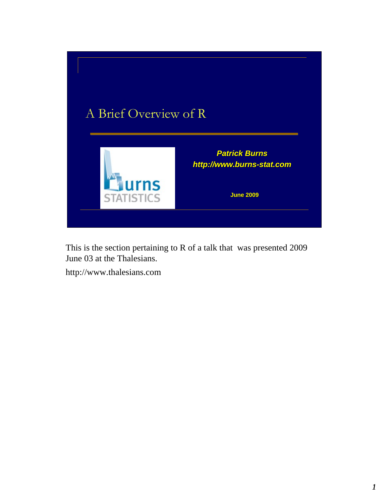

This is the section pertaining to R of a talk that was presented 2009 June 03 at the Thalesians.

http://www.thalesians.com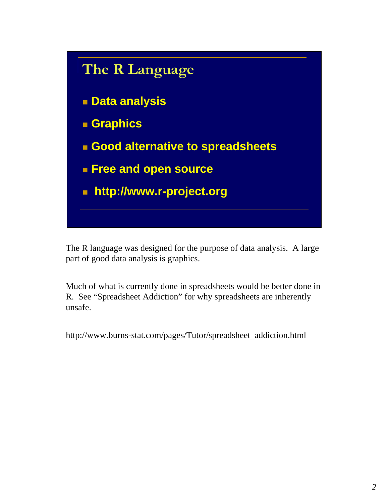

The R language was designed for the purpose of data analysis. A large part of good data analysis is graphics.

Much of what is currently done in spreadsheets would be better done in R. See "Spreadsheet Addiction" for why spreadsheets are inherently unsafe.

http://www.burns-stat.com/pages/Tutor/spreadsheet\_addiction.html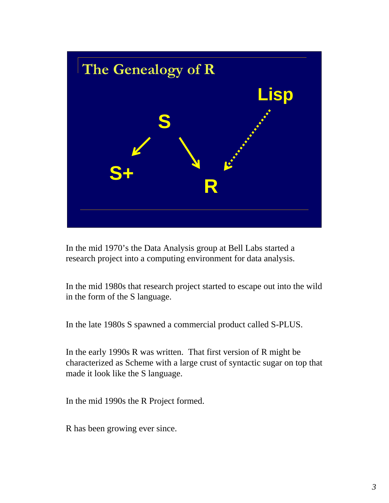

In the mid 1970's the Data Analysis group at Bell Labs started a research project into a computing environment for data analysis.

In the mid 1980s that research project started to escape out into the wild in the form of the S language.

In the late 1980s S spawned a commercial product called S-PLUS.

In the early 1990s R was written. That first version of R might be characterized as Scheme with a large crust of syntactic sugar on top that made it look like the S language.

In the mid 1990s the R Project formed.

R has been growing ever since.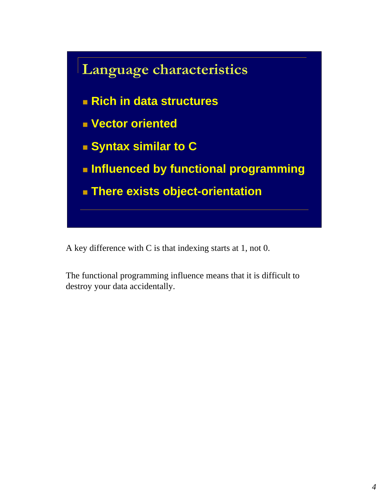

A key difference with C is that indexing starts at 1, not 0.

The functional programming influence means that it is difficult to destroy your data accidentally.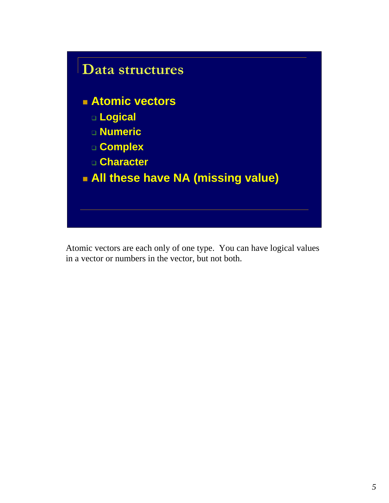

Atomic vectors are each only of one type. You can have logical values in a vector or numbers in the vector, but not both.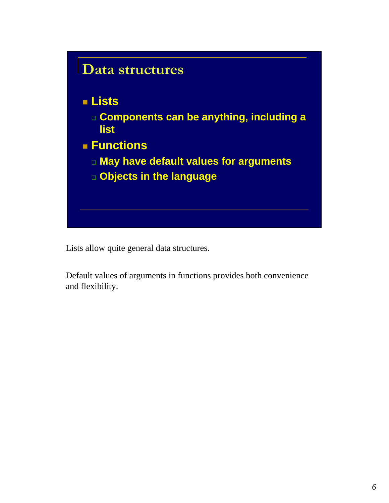

Lists allow quite general data structures.

Default values of arguments in functions provides both convenience and flexibility.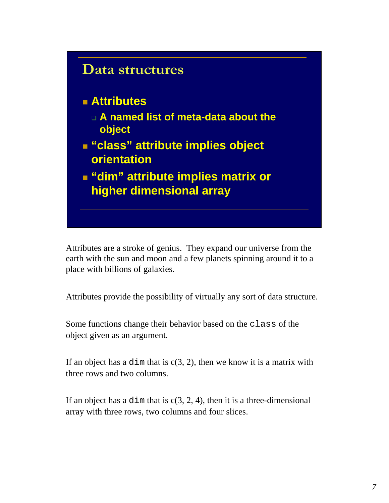

Attributes are a stroke of genius. They expand our universe from the earth with the sun and moon and a few planets spinning around it to a place with billions of galaxies.

Attributes provide the possibility of virtually any sort of data structure.

Some functions change their behavior based on the class of the object given as an argument.

If an object has a dim that is  $c(3, 2)$ , then we know it is a matrix with three rows and two columns.

If an object has a dim that is  $c(3, 2, 4)$ , then it is a three-dimensional array with three rows, two columns and four slices.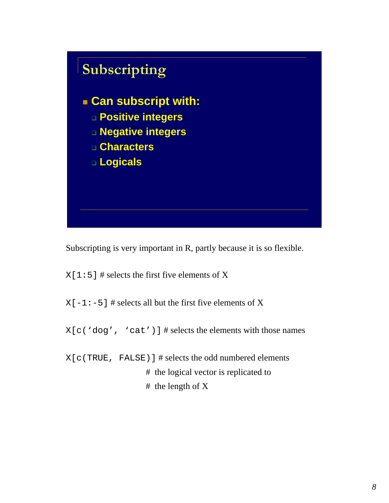

Subscripting is very important in R, partly because it is so flexible.

 $X[1:5]$  # selects the first five elements of X

 $X[-1:-5]$  # selects all but the first five elements of X

 $X[c'dog', 'cat')]$  # selects the elements with those names

X[c(TRUE, FALSE)] # selects the odd numbered elements # the logical vector is replicated to # the length of X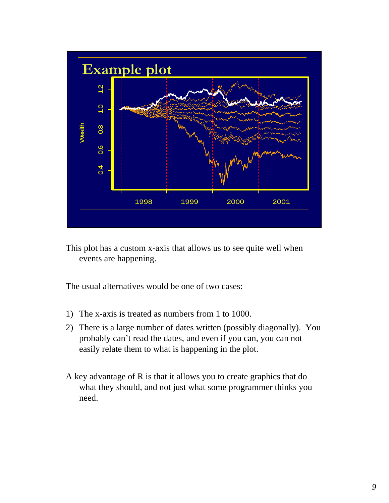

This plot has a custom x-axis that allows us to see quite well when events are happening.

The usual alternatives would be one of two cases:

- 1) The x-axis is treated as numbers from 1 to 1000.
- 2) There is a large number of dates written (possibly diagonally). You probably can't read the dates, and even if you can, you can not easily relate them to what is happening in the plot.
- A key advantage of R is that it allows you to create graphics that do what they should, and not just what some programmer thinks you need.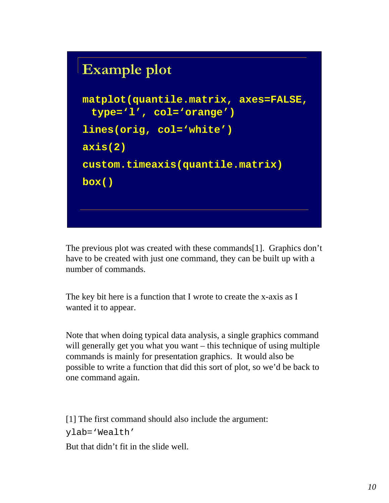## **Example plot**



The previous plot was created with these commands[1]. Graphics don't have to be created with just one command, they can be built up with a number of commands.

The key bit here is a function that I wrote to create the x-axis as I wanted it to appear.

Note that when doing typical data analysis, a single graphics command will generally get you what you want – this technique of using multiple commands is mainly for presentation graphics. It would also be possible to write a function that did this sort of plot, so we'd be back to one command again.

[1] The first command should also include the argument: ylab='Wealth'

But that didn't fit in the slide well.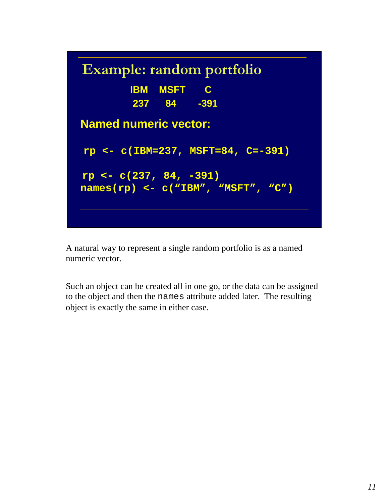

A natural way to represent a single random portfolio is as a named numeric vector.

Such an object can be created all in one go, or the data can be assigned to the object and then the names attribute added later. The resulting object is exactly the same in either case.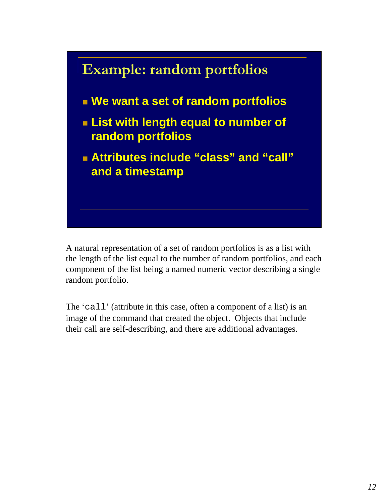

A natural representation of a set of random portfolios is as a list with the length of the list equal to the number of random portfolios, and each component of the list being a named numeric vector describing a single random portfolio.

The 'call' (attribute in this case, often a component of a list) is an image of the command that created the object. Objects that include their call are self-describing, and there are additional advantages.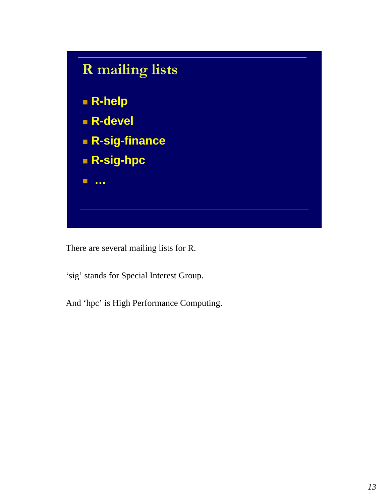

There are several mailing lists for R.

'sig' stands for Special Interest Group.

And 'hpc' is High Performance Computing.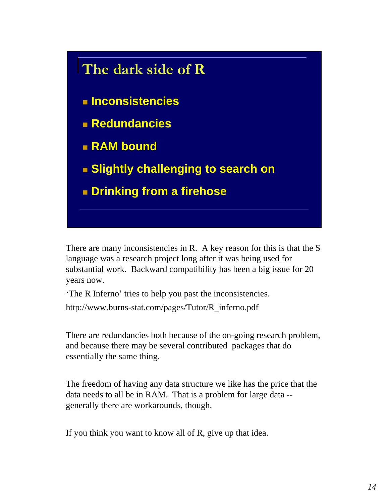

There are many inconsistencies in R. A key reason for this is that the S language was a research project long after it was being used for substantial work. Backward compatibility has been a big issue for 20 years now.

'The R Inferno' tries to help you past the inconsistencies.

http://www.burns-stat.com/pages/Tutor/R\_inferno.pdf

There are redundancies both because of the on-going research problem, and because there may be several contributed packages that do essentially the same thing.

The freedom of having any data structure we like has the price that the data needs to all be in RAM. That is a problem for large data - generally there are workarounds, though.

If you think you want to know all of R, give up that idea.